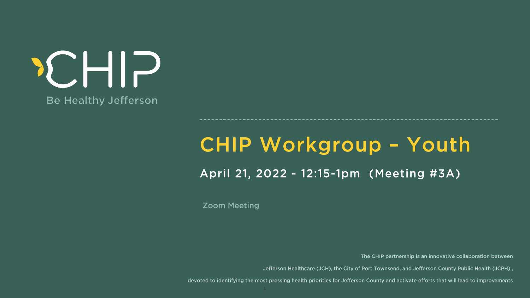# **Be Healthy Jefferson**

**Zoom Meeting** 

devoted to identifying the most pressing health priorities for Jefferson County and activate efforts that will lead to improvements

## CHIP Workgroup - Youth April 21, 2022 - 12:15-1pm (Meeting #3A)

The CHIP partnership is an innovative collaboration between

Jefferson Healthcare (JCH), the City of Port Townsend, and Jefferson County Public Health (JCPH),

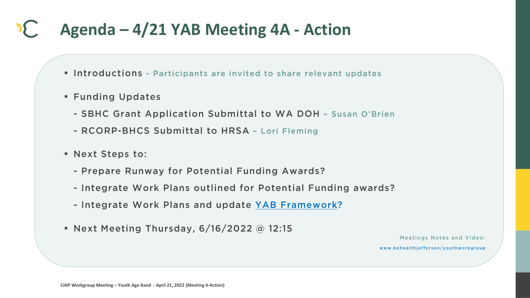### **Agenda – 4/21 YAB Meeting 4A - Action**  $\sum_{i=1}^{n}$

- . Introductions Participants are invited to share relevant updates
- **E** Funding Updates
	- SBHC Grant Application Submittal to WA DOH Susan O'Brien
	- RCORP-BHCS Submittal to HRSA Lori Fleming
- **E** Next Steps to:
	- Prepare Runway for Potential Funding Awards?
	- Integrate Work Plans outlined for Potential Funding awards?
	- Integrate Work Plans and update YAB Framework?
- Next Meeting Thursday,  $6/16/2022$  @ 12:15

Meetings Notes and Video:

www.behealthjefferson/youthworkgroup

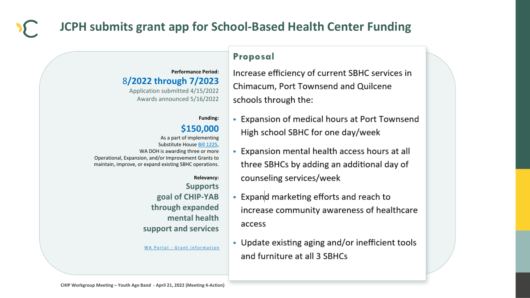### Proposal

- Increase efficiency of current SBHC services in Chimacum, Port Townsend and Quilcene schools through the:
- Expansion of medical hours at Port Townsend High school SBHC for one day/week



## **JCPH submits grant app for School-Based Health Center Funding**

### **Performance Period:**  8**/2022 through 7/2023**

• Expansion mental health access hours at all three SBHCs by adding an additional day of counseling services/week

- Expand marketing efforts and reach to increase community awareness of healthcare access
- 
- Update existing aging and/or inefficient tools and furniture at all 3 SBHCs

Application submitted 4/15/2022 Awards announced 5/16/2022

### **Funding:**

### **\$150,000**

As a part of implementing Substitute House [Bill 1225,](https://lawfilesext.leg.wa.gov/biennium/2021-22/Pdf/Bills/House%20Passed%20Legislature/1225-S.PL.pdf?q=20220207141810) WA DOH is awarding three or more Operational, Expansion, and/or Improvement Grants to maintain, improve, or expand existing SBHC operations.

> **Relevancy: Supports goal of CHIP-YAB through expanded mental health support and services**

WA Portal - Grant information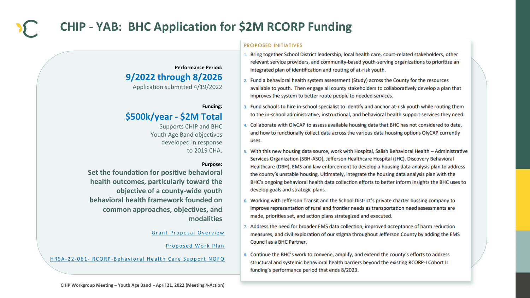#### **PROPOSED INITIATIVES**

- Bring together School District leadership, local health care, court-related stakeholders, other relevant service providers, and community-based youth-serving organizations to prioritize an integrated plan of identification and routing of at-risk youth.
- 2. Fund a behavioral health system assessment (Study) across the County for the resources available to youth. Then engage all county stakeholders to collaboratively develop a plan that improves the system to better route people to needed services.
- 3. Fund schools to hire in-school specialist to identify and anchor at-risk youth while routing them to the in-school administrative, instructional, and behavioral health support services they need.
- 4. Collaborate with OlyCAP to assess available housing data that BHC has not considered to date, and how to functionally collect data across the various data housing options OlyCAP currently uses.
- 5. With this new housing data source, work with Hospital, Salish Behavioral Health Administrative Services Organization (SBH-ASO), Jefferson Healthcare Hospital (JHC), Discovery Behavioral Healthcare (DBH), EMS and law enforcement to develop a housing data analysis plan to address the county's unstable housing. Ultimately, integrate the housing data analysis plan with the BHC's ongoing behavioral health data collection efforts to better inform insights the BHC uses to develop goals and strategic plans.
- 6. Working with Jefferson Transit and the School District's private charter bussing company to improve representation of rural and frontier needs as transportation need assessments are made, priorities set, and action plans strategized and executed.
- 7. Address the need for broader EMS data collection, improved acceptance of harm reduction measures, and civil exploration of our stigma throughout Jefferson County by adding the EMS Council as a BHC Partner.
- 8. Continue the BHC's work to convene, amplify, and extend the county's efforts to address structural and systemic behavioral health barriers beyond the existing RCORP-I Cohort II funding's performance period that ends 8/2023.



## **CHIP - YAB: BHC Application for \$2M RCORP Funding**

**Performance Period:** 

### **9/2022 through 8/2026**

Application submitted 4/19/2022

#### **Funding:**

### **\$500k/year - \$2M Total**

Supports CHIP and BHC Youth Age Band objectives developed in response to 2019 CHA.

#### **Purpose:**

**Set the foundation for positive behavioral health outcomes, particularly toward the objective of a county-wide youth behavioral health framework founded on common approaches, objectives, and modalities**

Grant Proposal Overview

Proposed Work Plan

HRSA-22-061- RCORP-Behavioral Health Care Support NOFO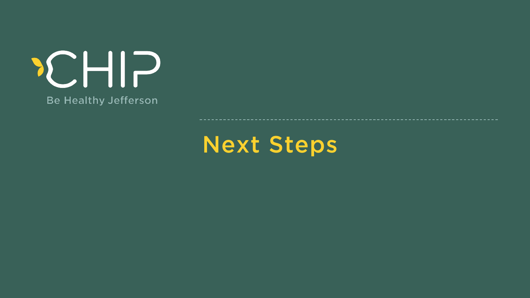# **Be Healthy Jefferson**

Next Steps